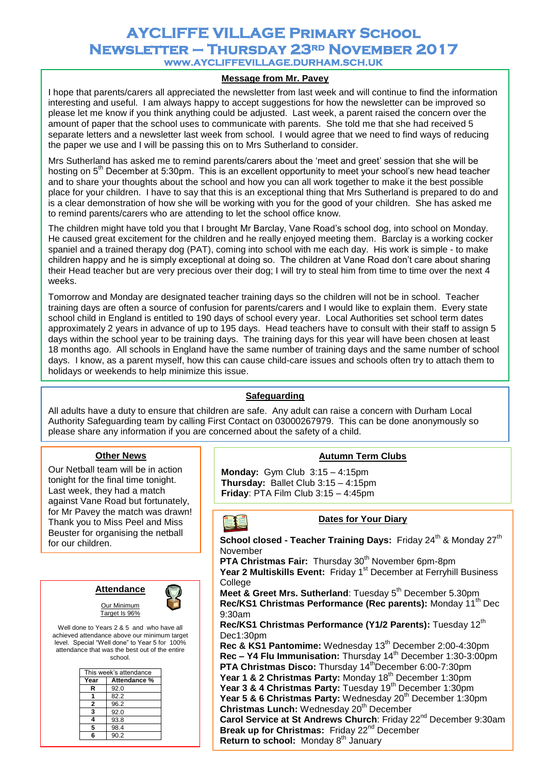# **AYCLIFFE VILLAGE Primary School Newsletter – Thursday 23rd November 2017 www.AYCLIFFEVILLAGE.DURHAM.SCH.UK**

## **Message from Mr. Pavey**

I hope that parents/carers all appreciated the newsletter from last week and will continue to find the information interesting and useful. I am always happy to accept suggestions for how the newsletter can be improved so please let me know if you think anything could be adjusted. Last week, a parent raised the concern over the amount of paper that the school uses to communicate with parents. She told me that she had received 5 separate letters and a newsletter last week from school. I would agree that we need to find ways of reducing the paper we use and I will be passing this on to Mrs Sutherland to consider.

Mrs Sutherland has asked me to remind parents/carers about the 'meet and greet' session that she will be hosting on 5<sup>th</sup> December at 5:30pm. This is an excellent opportunity to meet your school's new head teacher and to share your thoughts about the school and how you can all work together to make it the best possible place for your children. I have to say that this is an exceptional thing that Mrs Sutherland is prepared to do and is a clear demonstration of how she will be working with you for the good of your children. She has asked me to remind parents/carers who are attending to let the school office know.

The children might have told you that I brought Mr Barclay, Vane Road's school dog, into school on Monday. He caused great excitement for the children and he really enjoyed meeting them. Barclay is a working cocker spaniel and a trained therapy dog (PAT), coming into school with me each day. His work is simple - to make children happy and he is simply exceptional at doing so. The children at Vane Road don't care about sharing their Head teacher but are very precious over their dog; I will try to steal him from time to time over the next 4 weeks.

Tomorrow and Monday are designated teacher training days so the children will not be in school. Teacher training days are often a source of confusion for parents/carers and I would like to explain them. Every state school child in England is entitled to 190 days of school every year. Local Authorities set school term dates approximately 2 years in advance of up to 195 days. Head teachers have to consult with their staff to assign 5 days within the school year to be training days. The training days for this year will have been chosen at least 18 months ago. All schools in England have the same number of training days and the same number of school days. I know, as a parent myself, how this can cause child-care issues and schools often try to attach them to holidays or weekends to help minimize this issue.

## **Safeguarding**

All adults have a duty to ensure that children are safe. Any adult can raise a concern with Durham Local Authority Safeguarding team by calling First Contact on 03000267979. This can be done anonymously so please share any information if you are concerned about the safety of a child.

#### **Other News**

Our Netball team will be in action tonight for the final time tonight. Last week, they had a match against Vane Road but fortunately, for Mr Pavey the match was drawn! Thank you to Miss Peel and Miss Beuster for organising the netball for our children.





Well done to Years 2 & 5 and who have all achieved attendance above our minimum target level. Special "Well done" to Year 5 for 100% attendance that was the best out of the entire school.

Target Is 96%

|      | This week's attendance |
|------|------------------------|
| Year | Attendance %           |
| R    | 92.0                   |
|      | 82.2                   |
| 2    | 96.2                   |
| 3    | 92.0                   |
| 4    | 93.8                   |
| 5    | 98.4                   |
| Բ    | 90.2                   |

**Autumn Term Clubs**

**Monday:** Gym Club 3:15 – 4:15pm **Thursday:** Ballet Club 3:15 – 4:15pm **Friday**: PTA Film Club 3:15 – 4:45pm

#### **Dates for Your Diary**

**School closed - Teacher Training Days: Friday 24<sup>th</sup> & Monday 27<sup>th</sup>** November

**PTA Christmas Fair:** Thursday 30<sup>th</sup> November 6pm-8pm

Year 2 Multiskills Event: Friday 1<sup>st</sup> December at Ferryhill Business **College** 

**Meet & Greet Mrs. Sutherland: Tuesday 5<sup>th</sup> December 5.30pm Rec/KS1 Christmas Performance (Rec parents):** Monday 11<sup>th</sup> Dec 9:30am

**Rec/KS1 Christmas Performance (Y1/2 Parents):** Tuesday 12<sup>th</sup> Dec1:30pm

**Rec & KS1 Pantomime:** Wednesday 13<sup>th</sup> December 2:00-4:30pm **Rec – Y4 Flu Immunisation:** Thursday 14<sup>th</sup> December 1:30-3:00pm **PTA Christmas Disco:** Thursday 14<sup>th</sup>December 6:00-7:30pm **Year 1 & 2 Christmas Party: Monday 18<sup>th</sup> December 1:30pm** Year 3 & 4 Christmas Party: Tuesday 19<sup>th</sup> December 1:30pm Year 5 & 6 Christmas Party: Wednesday 20<sup>th</sup> December 1:30pm **Christmas Lunch:** Wednesday 20<sup>th</sup> December Carol Service at St Andrews Church: Friday 22<sup>nd</sup> December 9:30am **Break up for Christmas: Friday 22<sup>nd</sup> December Return to school:** Monday 8<sup>th</sup> January